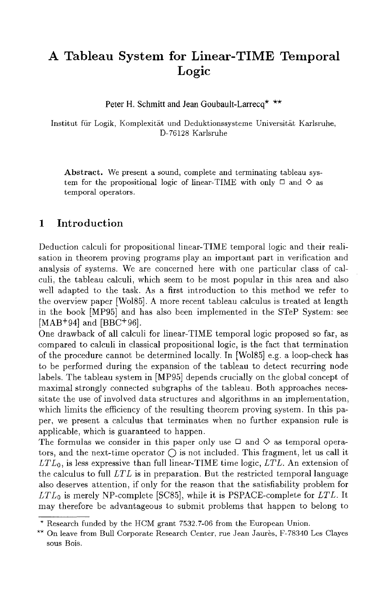# **A Tableau System for Linear-TIME Temporal Logic**

Peter H. Schmitt and Jean Goubault-Larrecq\* \*\*

Institut für Logik, Komplexität und Deduktionssysteme Universität Karlsruhe, D-76128 Karlsruhe

Abstract. We present a sound, complete and terminating tableau system for the propositional logic of linear-TIME with only  $\Box$  and  $\diamond$  as temporal operators.

# 1 Introduction

Deduction calculi for propositional linear-TIME temporal logic and their realisation in theorem proving programs play an important part in verification and analysis of systems. We are concerned here with one particular class of calculi, the tableau calculi, which seem to be most popular in this area and also well adapted to the task. As a first introduction to this method we refer to the overview paper [Wo185]. A more recent tableau calculus is treated at length in the book [MP95] and has also been implemented in the STeP System: see [MAB+94] and [BBC+96].

One drawback of all calculi for linear-TIME temporal logic proposed so far, as compared to calculi in classical propositional logic, is the fact that termination of the procedure cannot be determined locally. In [Wo185] e.g. a loop-check has to be performed during the expansion of the tableau to detect recurring node labels. The tableau system in IMP95] depends crucially on the global concept of maximal strongly connected subgraphs of the tableau. Both approaches necessitate the use of involved data structures and algorithms in an implementation, which limits the efficiency of the resulting theorem proving system. In this paper, we present a calculus that terminates when no further expansion rule is applicable, which is guaranteed to happen.

The formulas we consider in this paper only use  $\Box$  and  $\diamondsuit$  as temporal operators, and the next-time operator  $\bigcap$  is not included. This fragment, let us call it *LTLo,* is less expressive than full linear-TIME time logic, *LTL.* An extension of the calculus to full *LTL* is in preparation. But the restricted temporal language also deserves attention, if only for the reason that the satisfiability problem for *LTLo* is merely NP-complete [SC85], while it is PSPACE-complete for *LTL.* It may therefore be advantageous to submit problems that happen to belong to

<sup>\*</sup> Research funded by the HCM grant 7532.7-06 from the European Union.

<sup>\*\*</sup> On leave from Bull Corporate Research Center, rue Jean Jaurès, F-78340 Les Clayes sous Bois.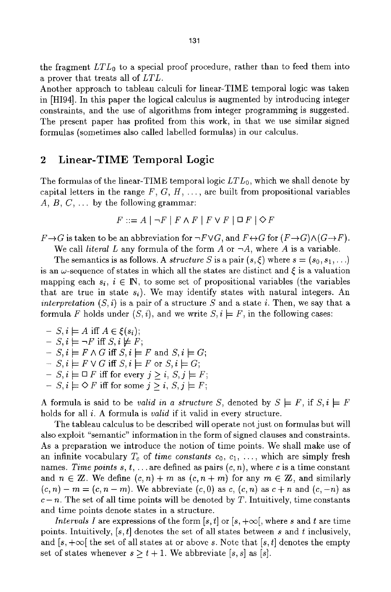the fragment *LTLo* to a special proof procedure, rather than to feed them into a prover that treats all of *LTL.* 

Another approach to tableau calculi for linear-TIME temporal logic was taken in [HI94]. In this paper the logical calculus is augmented by introducing integer constraints, and the use of algorithms from integer programming is suggested. The present paper has profited from this work, in that we use similar signed formulas (sometimes also called labelled formulas) in our calculus.

## 2 Linear-TIME Temporal Logic

The formulas of the linear-TIME temporal logic *LTLo,* which we shall denote by capital letters in the range  $F, G, H, \ldots$ , are built from propositional variables A,  $B, C, \ldots$  by the following grammar:

$$
F ::= A | \neg F | F \land F | F \lor F | \Box F | \Diamond F
$$

 $F \rightarrow G$  is taken to be an abbreviation for  $\neg F \lor G$ , and  $F \leftrightarrow G$  for  $(F \rightarrow G) \land (G \rightarrow F)$ .

We call *literal* L any formula of the form A or  $\neg A$ , where A is a variable.

The semantics is as follows. A *structure S* is a pair  $(s, \xi)$  where  $s = (s_0, s_1, \ldots)$ is an  $\omega$ -sequence of states in which all the states are distinct and  $\xi$  is a valuation mapping each  $s_i$ ,  $i \in \mathbb{N}$ , to some set of propositional variables (the variables that are true in state  $s_i$ ). We may identify states with natural integers. An *interpretation*  $(S, i)$  is a pair of a structure S and a state i. Then, we say that a formula F holds under  $(S, i)$ , and we write  $S, i \models F$ , in the following cases:

$$
- S, i \models A \text{ iff } A \in \xi(s_i);
$$
  
\n
$$
- S, i \models \neg F \text{ iff } S, i \not\models F;
$$
  
\n
$$
- S, i \models F \land G \text{ iff } S, i \models F \text{ and } S, i \models G.
$$
  
\n
$$
- S, i \models F \lor G \text{ iff } S, i \models F \text{ or } S, i \models G;
$$
  
\n
$$
- S, i \models \Box F \text{ iff for every } j \geq i, S, j \models F
$$
  
\n
$$
- S, i \models \Diamond F \text{ iff for some } j \geq i, S, j \models F
$$

A formula is said to be *valid in a structure S*, denoted by  $S \models F$ , if  $S, i \models F$ holds for all i. A formula is *valid* if it valid in every structure.

The tableau calculus to be described will operate not just on formulas but will also exploit "semantic" information in the form of signed clauses and constraints. As a preparation we introduce the notion of time points. We shall make use of an infinite vocabulary  $T_c$  of *time constants*  $c_0, c_1, \ldots$ , which are simply fresh names. *Time points s, t, ...* are defined as pairs  $(c, n)$ , where c is a time constant and  $n \in \mathbb{Z}$ . We define  $(c, n) + m$  as  $(c, n + m)$  for any  $m \in \mathbb{Z}$ , and similarly  $(c, n) - m = (c, n - m)$ . We abbreviate  $(c, 0)$  as  $c, (c, n)$  as  $c + n$  and  $(c, -n)$  as  $c - n$ . The set of all time points will be denoted by T. Intuitively, time constants and time points denote states in a structure.

*Intervals I* are expressions of the form  $[s, t]$  or  $[s, +\infty[,$  where s and t are time points. Intuitively,  $[s, t]$  denotes the set of all states between s and t inclusively, and  $[s, +\infty]$  the set of all states at or above s. Note that  $[s, t]$  denotes the empty set of states whenever  $s \ge t + 1$ . We abbreviate [s, s] as [s].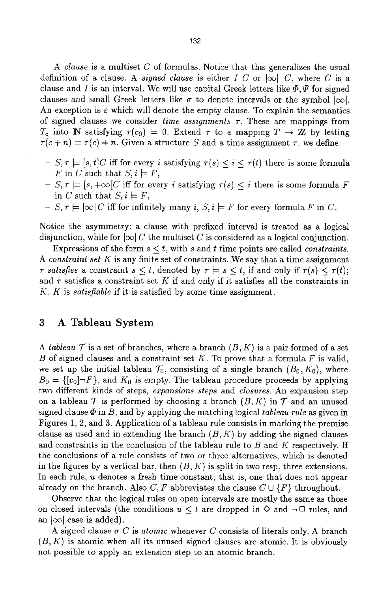*A clause* is a multiset C of formulas. Notice that this generalizes the usual definition of a clause. A *signed clause* is either I C or  $|\infty|$  C, where C is a clause and I is an interval. We will use capital Greek letters like  $\Phi, \Psi$  for signed clauses and small Greek letters like  $\sigma$  to denote intervals or the symbol  $|\infty|$ . An exception is  $\varepsilon$  which will denote the empty clause. To explain the semantics of signed clauses we consider *time assignments*  $\tau$ . These are mappings from  $T_c$  into **N** satisfying  $\tau(c_0) = 0$ . Extend  $\tau$  to a mapping  $T \to \mathbb{Z}$  by letting  $\tau(c+n) = \tau(c) + n$ . Given a structure S and a time assignment  $\tau$ , we define:

- $-S, \tau \models [s, t]C$  iff for every i satisfying  $\tau(s) \leq i \leq \tau(t)$  there is some formula F in C such that  $S, i \models F$ ,
- $-S, \tau \models [s, +\infty]C$  iff for every i satisfying  $\tau(s) \leq i$  there is some formula F in C such that  $S, i \models F$ ,
- $-S, \tau \models |\infty| C$  iff for infinitely many i,  $S, i \models F$  for every formula F in C.

Notice the asymmetry: a clause with prefixed interval is treated as a logical disjunction, while for  $|\infty| C$  the multiset C is considered as a logical conjunction.

Expressions of the form  $s < t$ , with s and t time points are called *constraints*. *A constraint set K* is any finite set of constraints. We say that a time assignment  $\tau$  satisfies a constraint  $s \leq t$ , denoted by  $\tau \models s \leq t$ , if and only if  $\tau(s) \leq \tau(t)$ ; and  $\tau$  satisfies a constraint set K if and only if it satisfies all the constraints in K. K is *satisfiable* if it is satisfied by some time assignment.

### 3 A Tableau System

*A tableau*  $\mathcal T$  is a set of branches, where a branch  $(B, K)$  is a pair formed of a set B of signed clauses and a constraint set K. To prove that a formula F is valid, we set up the initial tableau  $\mathcal{T}_0$ , consisting of a single branch  $(B_0, K_0)$ , where  $B_0 = \{ [c_0] \neg F \}$ , and  $K_0$  is empty. The tableau procedure proceeds by applying two different kinds of steps~ *expansions steps* and *closures.* An expansion step on a tableau  $\mathcal T$  is performed by choosing a branch  $(B, K)$  in  $\mathcal T$  and an unused signed clause  $\Phi$  in B, and by applying the matching logical *tableau rule* as given in Figures 1, 2, and 3. Application of a tableau rule consists in marking the premise clause as used and in extending the branch  $(B, K)$  by adding the signed clauses and constraints in the conclusion of the tableau rule to B and K respectively. If the conclusions of a rule consists of two or three alternatives, which is denoted in the figures by a vertical bar, then  $(B, K)$  is split in two resp. three extensions. In each rule, u denotes a fresh time constant, that is, one that does not appear already on the branch. Also C, F abbreviates the clause  $C \cup \{F\}$  throughout.

Observe that the logical rules on open intervals are mostly the same as those on closed intervals (the conditions  $u \leq t$  are dropped in  $\diamond$  and  $\neg \Box$  rules, and an  $|\infty|$  case is added).

A signed clause  $\sigma C$  is *atomic* whenever C consists of literals only. A branch  $(B, K)$  is atomic when all its unused signed clauses are atomic. It is obviously not possible to apply an extension step to an atomic branch.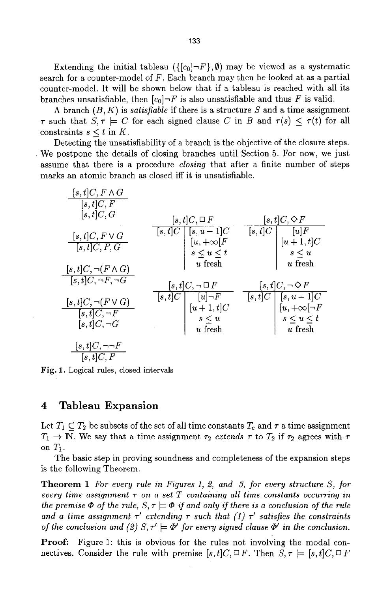Extending the initial tableau  $({c_0} - F, \emptyset)$  may be viewed as a systematic search for a counter-model of  $F$ . Each branch may then be looked at as a partial counter-model. It will be shown below that if a tableau is reached with all its branches unsatisfiable, then  $[c_0] \rightarrow F$  is also unsatisfiable and thus F is valid.

A branch (B, K) is *satisfiable* if there is a structure S and a time assignment  $\tau$  such that  $S, \tau \models C$  for each signed clause C in B and  $\tau(s) < \tau(t)$  for all constraints  $s < t$  in K.

Detecting the unsatisfiability of a branch is the objective of the closure steps. We postpone the details of closing branches until Section 5. For now, we just assume that there is a procedure *closing* that after a finite number of steps marks an atomic branch as closed iff it is unsatisfiable.

| $[s, t]C, F \wedge G$<br>[s,t]C, F<br>[s,t]C,G                                                   | $ s,t C, \Box F$                                                                                                                                   | $ s,t C, \Diamond F$                                                                                                                                     |
|--------------------------------------------------------------------------------------------------|----------------------------------------------------------------------------------------------------------------------------------------------------|----------------------------------------------------------------------------------------------------------------------------------------------------------|
| $[s, t]C, F \vee G$<br>[s, t]C, F, G<br>$[s, t]C, \neg (F \wedge G)$                             | $\begin{array}{c c c} \hline [s,t]C & [s,u-1]C \\ \hline & [u,+\infty[F] \\ s\leq u\leq t \\ u\text{ fresh} \end{array}$                           | $\begin{array}{c c} \hline [s,t]C & [u]F \\ \hline & [u+1,t]C \\ & s \le u \\ \hline \end{array}$<br>$u$ fresh                                           |
| $[s, t]C, \neg F, \neg G$<br>$[s,t]C, \neg (F \vee G)$<br>$[s, t]C, \neg F$<br>$[s, t]C, \neg G$ | $ s,t C, \neg \,\Box\, F$<br>$\begin{array}{c c c} \hline [s,t]C & [u] \neg F \\ \hline & [u+1,t]C \\ & s \leq u \\ & u \text{ fresh} \end{array}$ | $ s,t C, \neg \, \Diamond \, F$<br>$\begin{array}{c c} \hline [s,t]C & [s,u-1]C \\ \hline [u,+\infty[\neg F] & s \leq u \leq t \end{array}$<br>$u$ fresh |
| $[s,t]C, \neg\neg F$<br>[s,t]C, F                                                                |                                                                                                                                                    |                                                                                                                                                          |

Fig. 1. Logical rules, closed intervals

### **4 Tableau Expansion**

Let  $T_1 \subseteq T_2$  be subsets of the set of all time constants  $T_c$  and  $\tau$  a time assignment  $T_1 \rightarrow \mathbb{N}$ . We say that a time assignment  $\tau_2$  *extends*  $\tau$  to  $T_2$  if  $\tau_2$  agrees with  $\tau$ on  $T_1$ .

The basic step in proving soundness and completeness of the expansion steps is the following Theorem.

Theorem 1 *For every rule in Figures 1, 2, and 3, for every structure S, for every time assignment*  $\tau$  *on a set*  $T$  *containing all time constants occurring in the premise*  $\Phi$  *of the rule, S,*  $\tau \models \Phi$  *if and only if there is a conclusion of the rule* and a time assignment  $\tau'$  extending  $\tau$  such that (1)  $\tau'$  satisfies the constraints *of the conclusion and (2)*  $S, \tau' \models \Phi'$  for every signed clause  $\Phi'$  in the conclusion.

Proof: Figure 1: this is obvious for the rules not involving the modal connectives. Consider the rule with premise  $[s, t]C \subseteq F$ . Then  $S, \tau \models [s, t]C \subseteq F$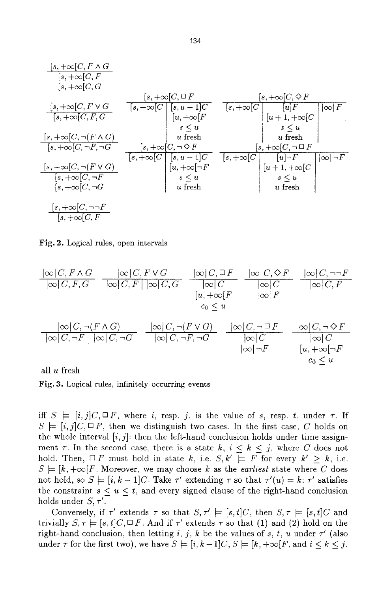[s, +co[C, F A G [s, +co[C, F [s, +co[C, a **[s, +oo[C, F v G [s, +oo[C, F, G**  [.% +co[c, -,(F ^ c) [~, +co[c,-,F, -~a [s, +oo[C, --,(F v C) [s, +oc[C,-,F [~, +co[C, 70 [s, +co[C, ~=F [s, +co[C, F [s, +at[C, [] F [~--7 +oo[c I Is,. -i]c **I** [u, +oe[f *s<u*  u fresh [s, +co[C, -, O F [s, +co[C, 0 F **[s, +co[C** *[u]F*  [u + 1, +co[C *s<u*  u fresh [s, +oo[C, -, [] F IcoIF **[s, +oo[C** [s, u -1]C [,~, +co[-~F s<~tL u fresh [s, +oo[C *[u]-~F*  [u + 1, +co[C s<u u fresh loci ,F

Fig. 2. Logical rules, open intervals

$$
\frac{|\infty|C, F \wedge G}{|\infty|C, F, G} \quad \frac{|\infty|C, F \vee G}{|\infty|C, F| |\infty|C, G} \quad \frac{|\infty|C, \Box F}{|\infty|C} \quad \frac{|\infty|C, \Diamond F}{|\infty|C} \quad \frac{|\infty|C, \neg F}{|\infty|C, F}
$$
\n
$$
\frac{|\infty|C, \neg(F \wedge G)}{|\infty|C, \neg F| |\infty|C, \neg G} \quad \frac{|\infty|C, \neg(F \vee G)}{|\infty|C, \neg F, \neg G} \quad \frac{|\infty|C, \neg\Box F}{|\infty|C}
$$
\n
$$
\frac{|\infty|C, \neg(F \wedge G)}{|\infty|\neg F} \quad \frac{|\infty|C, \neg\Diamond F}{|\infty|C}
$$
\n
$$
\frac{|\infty|C, \neg F}{|\infty|\neg F} \quad \frac{|\infty|C, \neg\Diamond F}{|\infty|\neg F}
$$
\n
$$
\frac{|\infty|C, \neg F}{|\infty|\neg F} \quad \frac{|\infty|C, \neg\Diamond F}{|\infty|\neg F}
$$

all u fresh

Fig. 3. Logical rules, infinitely occurring events

iff  $S \models [i,j]C, \Box F$ , where i, resp. j, is the value of s, resp. t, under  $\tau$ . If  $S \models [i,j]C, \Box F$ , then we distinguish two cases. In the first case, C holds on the whole interval  $[i, j]$ : then the left-hand conclusion holds under time assignment  $\tau$ . In the second case, there is a state  $k, i \leq k \leq j$ , where C does not hold. Then,  $\Box F$  must hold in state k, i.e.  $S, k' \models F$  for every  $k' \geq k$ , i.e.  $S \models [k, +\infty]F$ . Moreover, we may choose k as the *earliest* state where C does not hold, so  $S \models [i, k-1]C$ . Take  $\tau'$  extending  $\tau$  so that  $\tau'(u) = k$ :  $\tau'$  satisfies the constraint  $s \le u \le t$ , and every signed clause of the right-hand conclusion holds under  $S, \tau'$ .

Conversely, if  $\tau'$  extends  $\tau$  so that  $S, \tau' \models [s, t]C$ , then  $S, \tau \models [s, t]C$  and trivially  $S, \tau \models [s, t]C, \Box F$ . And if  $\tau'$  extends  $\tau$  so that (1) and (2) hold on the right-hand conclusion, then letting i, j, k be the values of s, t, u under  $\tau'$  (also under  $\tau$  for the first two), we have  $S \models [i, k-1]C, S \models [k, +\infty]F$ , and  $i \leq k \leq j$ .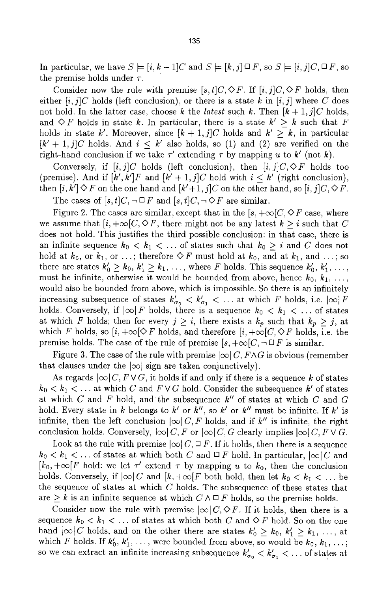In particular, we have  $S \models [i, k-1]C$  and  $S \models [k, j] \square F$ , so  $S \models [i, j]C \square F$ , so the premise holds under  $\tau$ .

Consider now the rule with premise  $[s, t]C \sim F$ . If  $[i, j]C \sim F$  holds, then either  $[i, j]C$  holds (left conclusion), or there is a state k in  $[i, j]$  where C does not hold. In the latter case, choose k the *latest* such k. Then  $[k+1,j]C$  holds, and  $\Diamond F$  holds in state k. In particular, there is a state  $k' > k$  such that F holds in state k'. Moreover, since  $[k+1,j]C$  holds and  $k' \geq k$ , in particular  $[k' + 1, j]C$  holds. And  $i < k'$  also holds, so (1) and (2) are verified on the right-hand conclusion if we take  $\tau'$  extending  $\tau$  by mapping u to  $k'$  (not k).

Conversely, if  $[i, j]C$  holds (left conclusion), then  $[i, j]C \diamond F$  holds too (premise). And if  $[k', k']F$  and  $[k' + 1, j]C$  hold with  $i \leq k'$  (right conclusion), then  $[i, k'] \Diamond F$  on the one hand and  $[k'+1, j]C$  on the other hand, so  $[i, j]C, \Diamond F$ . The cases of  $[s, t]C$ ,  $\neg \Box F$  and  $[s, t]C$ ,  $\neg \Diamond F$  are similar.

Figure 2. The cases are similar, except that in the  $[s, +\infty]C$ ,  $\Diamond F$  case, where we assume that  $[i, +\infty]C$ ,  $\Diamond F$ , there might not be any latest  $k \geq i$  such that C does not hold. This justifies the third possible conclusion: in that case, there is an infinite sequence  $k_0 < k_1 < \ldots$  of states such that  $k_0 \geq i$  and C does not hold at  $k_0$ , or  $k_1$ , or ...; therefore  $\Diamond F$  must hold at  $k_0$ , and at  $k_1$ , and ...; so there are states  $k'_0 \geq k_0, k'_1 \geq k_1, \ldots$ , where F holds. This sequence  $k'_0, k'_1, \ldots$ , must be infinite, otherwise it would be bounded from above, hence  $k_0, k_1, \ldots$ , would also be bounded from above, which is impossible. So there is an infinitely increasing subsequence of states  $k'_{\sigma_0} < k'_{\sigma_1} < \dots$  at which F holds, i.e.  $|\infty|F$ holds. Conversely, if  $|\infty| F$  holds, there is a sequence  $k_0 < k_1 < \ldots$  of states at which F holds; then for every  $j \geq i$ , there exists a  $k_p$  such that  $k_p \geq j$ , at which F holds, so  $[i, +\infty] \Diamond F$  holds, and therefore  $[i, +\infty]C$ ,  $\Diamond F$  holds, i.e. the premise holds. The case of the rule of premise  $[s, +\infty]C, \neg \Box F$  is similar.

Figure 3. The case of the rule with premise  $|\infty| C$ ,  $F \wedge G$  is obvious (remember that clauses under the  $|\infty|$  sign are taken conjunctively).

As regards  $\infty |C, F \vee G$ , it holds if and only if there is a sequence k of states  $k_0 < k_1 < \ldots$  at which C and  $F \vee G$  hold. Consider the subsequence  $k'$  of states at which C and F hold, and the subsequence  $k''$  of states at which C and G hold. Every state in k belongs to  $k'$  or  $k''$ , so  $k'$  or  $k''$  must be infinite. If  $k'$  is infinite, then the left conclusion  $|\infty| C, F$  holds, and if k'' is infinite, the right conclusion holds. Conversely,  $|\infty| C, F$  or  $|\infty| C, G$  clearly implies  $|\infty| C, F \vee G$ .

Look at the rule with premise  $|\infty| C$ ,  $\Box F$ . If it holds, then there is a sequence  $k_0 < k_1 < \ldots$  of states at which both C and  $\Box$  F hold. In particular,  $|\infty| C$  and  $[k_0, +\infty]$  is not kepthalism in the vector  $\tau$  by mapping u to  $k_0$ , then the conclusion holds. Conversely, if  $|\infty|C$  and  $[k, +\infty]F$  both hold, then let  $k_0 < k_1 < \ldots$  be the sequence of states at which  $C$  holds. The subsequence of these states that are  $\geq k$  is an infinite sequence at which  $C \wedge \square F$  holds, so the premise holds.

Consider now the rule with premise  $|\infty| C, \Diamond F$ . If it holds, then there is a sequence  $k_0 < k_1 < \ldots$  of states at which both C and  $\Diamond F$  hold. So on the one hand  $|\infty|C$  holds, and on the other there are states  $k'_0 \geq k_0, k'_1 \geq k_1, \ldots$ , at which F holds. If  $k'_0, k'_1, \ldots$ , were bounded from above, so would be  $k_0, k_1, \ldots$ ; so we can extract an infinite increasing subsequence  $k'_{\sigma_0} < k'_{\sigma_1} < \dots$  of states at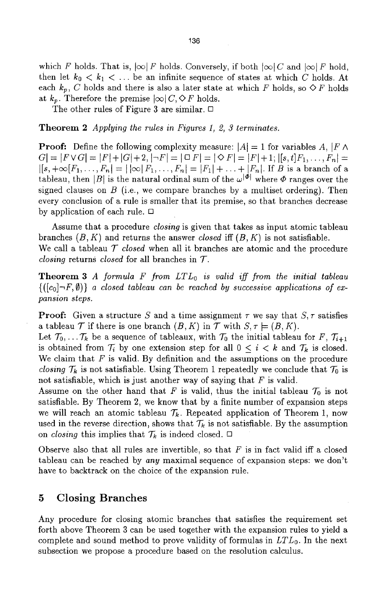which F holds. That is,  $|\infty| F$  holds. Conversely, if both  $|\infty| C$  and  $|\infty| F$  hold, then let  $k_0 < k_1 < \ldots$  be an infinite sequence of states at which C holds. At each  $k_p$ , C holds and there is also a later state at which F holds, so  $\Diamond F$  holds at  $k_p$ . Therefore the premise  $|\infty| C$ ,  $\Diamond F$  holds.

The other rules of Figure 3 are similar.  $\Box$ 

Theorem 2 *Applying the rules in Figures 1, 2, 3 terminates.* 

**Proof:** Define the following complexity measure:  $|A| = 1$  for variables A,  $|F \wedge$  $G = |F \vee G| = |F| + |G| + 2, |\neg F| = |\Box F| = |\Diamond F| = |F| + 1; |[s, t]F_1, \ldots, F_n| =$  $|[s, +\infty[F_1, ..., F_n] = | \infty | F_1, ..., F_n| = |F_1| + ... + |F_n|$ . If *B* is a branch of a tableau, then |B| is the natural ordinal sum of the  $\omega^{|\phi|}$  where  $\Phi$  ranges over the signed clauses on  $B$  (i.e., we compare branches by a multiset ordering). Then every conclusion of a rule is smaller that its premise, so that branches decrease by application of each rule.  $\Box$ 

Assume that a procedure *closing* is given that takes as input atomic tableau branches  $(B, K)$  and returns the answer *closed* iff  $(B, K)$  is not satisfiable. We call a tableau *T closed* when all it branches are atomic and the procedure *closing* returns *closed* for all branches in T.

Theorem *3 A formula F from LTLo is valid iff from the initial tableau*   $\{([c_0] \neg F, \emptyset)\}\$ a closed tableau can be reached by successive applications of ex*pansion steps.* 

**Proof:** Given a structure S and a time assignment  $\tau$  we say that  $S$ ,  $\tau$  satisfies a tableau  $\mathcal T$  if there is one branch  $(B, K)$  in  $\mathcal T$  with  $S, \tau \models (B, K)$ .

Let  $\mathcal{T}_0, \ldots, \mathcal{T}_k$  be a sequence of tableaux, with  $\mathcal{T}_0$  the initial tableau for F,  $\mathcal{T}_{i+1}$ is obtained from  $\mathcal{T}_i$  by one extension step for all  $0 \leq i \leq k$  and  $\mathcal{T}_k$  is closed. We claim that  $F$  is valid. By definition and the assumptions on the procedure *closing*  $\mathcal{T}_k$  is not satisfiable. Using Theorem 1 repeatedly we conclude that  $\mathcal{T}_0$  is not satisfiable, which is just another way of saying that  $F$  is valid.

Assume on the other hand that F is valid, thus the initial tableau  $\mathcal{T}_0$  is not satisfiable. By Theorem 2, we know that by a finite number of expansion steps we will reach an atomic tableau  $\mathcal{T}_k$ . Repeated application of Theorem 1, now used in the reverse direction, shows that  $\mathcal{T}_k$  is not satisfiable. By the assumption on *closing* this implies that  $\mathcal{T}_k$  is indeed closed.  $\Box$ 

Observe also that all rules are invertible, so that  $F$  is in fact valid iff a closed tableau can be reached by *any* maximal sequence of expansion steps: we don't have to backtrack on the choice of the expansion rule.

## **5 Closing Branches**

Any procedure for closing atomic branches that satisfies the requirement set forth above Theorem 3 can be used together with the expansion rules to yield a complete and sound method to prove validity of formulas in *LTLo.* In the next subsection we propose a procedure based on the resolution calculus.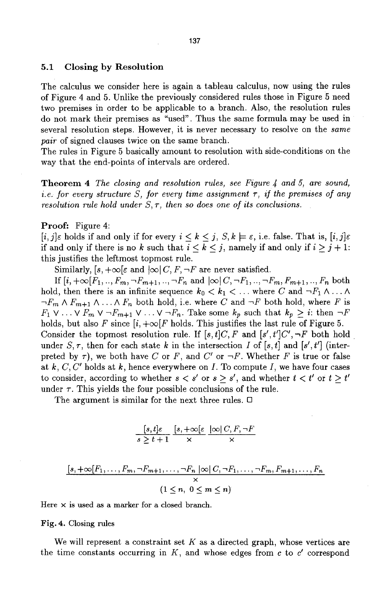#### **5.1 Closing by Resolution**

The calculus we consider here is again a tableau calculus, now using the rules of Figure 4 and 5. Unlike the previously considered rules those in Figure 5 need two premises in order to be applicable to a branch. Also, the resolution rules do not mark their premises as "used". Thus the same formula may be used in several resolution steps. However, it is never necessary to resolve on the *same pair* of signed clauses twice on the same branch.

The rules in Figure 5 basically amount to resolution with side-conditions on the way that the end-points of intervals are ordered.

Theorem 4 *The closing and resolution rules, see Figure 4 and 5, are sound, i.e. for every structure S, for every time assignment*  $\tau$ *, if the premises of any resolution rule hold under*  $S, \tau$ , then so does one of its conclusions.

#### Proof: Figure 4:

 $[i, j]\varepsilon$  holds if and only if for every  $i \leq k \leq j$ ,  $S, k \models \varepsilon$ , i.e. false. That is,  $[i, j]\varepsilon$ if and only if there is no k such that  $i \leq k \leq j$ , namely if and only if  $i \geq j + 1$ : this justifies the teftmost topmost rule.

Similarly,  $[s, +\infty[\varepsilon \text{ and } \infty]$   $C, F, \neg F$  are never satisfied.

If  $[i, +\infty]F_1, ..., F_m, \neg F_{m+1}, ..., \neg F_n$  and  $|\infty|C, \neg F_1, ..., \neg F_m, F_{m+1}, ..., F_n$  both hold, then there is an infinite sequence  $k_0 < k_1 < \ldots$  where C and  $\neg F_1 \wedge \ldots \wedge$  $\neg F_m \wedge F_{m+1} \wedge \ldots \wedge F_n$  both hold, i.e. where C and  $\neg F$  both hold, where F is  $F_1 \vee \ldots \vee F_m \vee \neg F_{m+1} \vee \ldots \vee \neg F_n$ . Take some  $k_p$  such that  $k_p \geq i$ : then  $\neg F$ holds, but also F since  $[i, +\infty]F$  holds. This justifies the last rule of Figure 5. Consider the topmost resolution rule. If  $[s, t]C$ , F and  $[s', t']C'$ ,  $\neg F$  both hold under S,  $\tau$ , then for each state k in the intersection I of [s, t] and [s', t'] (interpreted by  $\tau$ ), we both have C or F, and C' or  $-F$ . Whether F is true or false at  $k, C, C'$  holds at  $k$ , hence everywhere on  $I$ . To compute  $I$ , we have four cases to consider, according to whether  $s < s'$  or  $s \geq s'$ , and whether  $t < t'$  or  $t \geq t'$ under  $\tau$ . This yields the four possible conclusions of the rule.

The argument is similar for the next three rules.  $\Box$ 

$$
\frac{[s,t] \varepsilon}{s \ge t+1} \frac{[s,+\infty[\varepsilon\;\;]\infty|\,C, F, \neg F}{\times}
$$

$$
\frac{[s,+\infty[F_1,\ldots,F_m,\neg F_{m+1},\ldots,\neg F_n \mid \infty] \mid C,\neg F_1,\ldots,\neg F_m,F_{m+1},\ldots,F_n}{\times} \quad (1 \leq n, \ 0 \leq m \leq n)
$$

Here  $\times$  is used as a marker for a closed branch.

#### Fig. 4. Closing rules

We will represent a constraint set K as a directed graph, whose vertices are the time constants occurring in  $K$ , and whose edges from  $c$  to  $c'$  correspond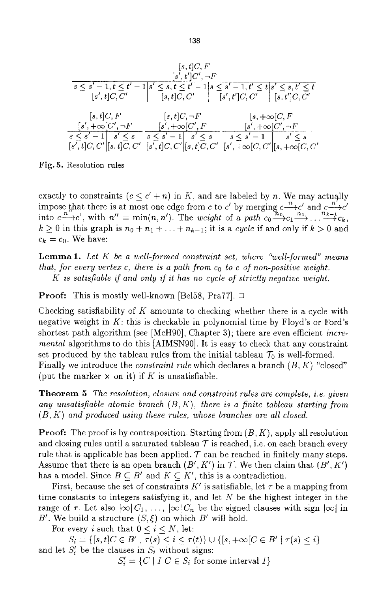*Is, t]C, F Is', t']c', ~f s <\_ s' - l, t <\_ t' - l s' <\_ s, t < t' - l s <\_ s' - l, t' < t s' <\_ s, t' <\_ t [s', t]C, C' [s, t]C; C' [s', t']C, C z- [s, t']C, C' [s, t]C, F [s, t]C, ~F [s,* **+oo[C, F**  *Is', +oo[c',-F [~', +oo[c', F [r +oo[c', .F s < s'- I s' <\_ s* **s<s'-l[** *s' < s s <\_ s'- i s' < s [s(t]c, c' [~, t]c, c' r- , - , , Is ,t]c,c* **I[s,t]c,c Is** *,+oo[c,c' [,,+~c,c'* 

Fig. 5. Resolution rules

exactly to constraints  $(c \leq c' + n)$  in K, and are labeled by n. We may actually impose that there is at most one edge from c to c' by merging  $c \rightarrow c'$  and  $c \rightarrow c'$ into  $c \rightarrow c'$ , with  $n'' = \min(n, n')$ . The *weight* of a path  $c_0 \rightarrow c_1 \rightarrow c_2 \rightarrow c_k$ ,  $k \geq 0$  in this graph is  $n_0 + n_1 + \ldots + n_{k-1}$ ; it is a *cycle* if and only if  $k > 0$  and  $c_k = c_0$ . We have:

Lemma 1. *Let K be a well-formed constraint set, where "well-formed" means that, for every vertex c, there is a path from*  $c_0$  *to c of non-positive weight. K is satisfiable if and only if it has no cycle of strictly negative weight.* 

**Proof:** This is mostly well-known [Bel58, Pra77].  $\Box$ 

Checking satisfiability of K amounts to checking whether there is a cycle with negative weight in K: this is checkable in polynomial time by Floyd's or Ford's shortest path algorithm (see [McH90], Chapter 3); there are even efficient *incremental* algorithms to do this [AIMSN90]. It is easy to check that any constraint set produced by the tableau rules from the initial tableau  $\mathcal{T}_0$  is well-formed. Finally we introduce the *constraint rule* which declares a branch (B, K) "closed" (put the marker  $\times$  on it) if K is unsatisfiable.

Theorem 5 *The resolution, closure and constraint rules are complete, i.e. given any unsatisfiable atomic branch (B, K), there is a finite tableau starting from*  (B, *K) and produced using these rules, whose branches are all closed.* 

**Proof:** The proof is by contraposition. Starting from  $(B, K)$ , apply all resolution and closing rules until a saturated tableau  $\mathcal T$  is reached, i.e. on each branch every rule that is applicable has been applied.  $\mathcal T$  can be reached in finitely many steps. Assume that there is an open branch  $(B', K')$  in  $\mathcal T$ . We then claim that  $(B', K')$ has a model. Since  $B \subseteq B'$  and  $K \subseteq K'$ , this is a contradiction.

First, because the set of constraints K' is satisfiable, let  $\tau$  be a mapping from time constants to integers satisfying it, and let  $N$  be the highest integer in the range of  $\tau$ . Let also  $|\infty| C_1, \ldots, |\infty| C_n$  be the signed clauses with sign  $|\infty|$  in B'. We build a structure  $(S, \xi)$  on which B' will hold.

For every i such that  $0 \lt i \lt N$ , let:

 $S_i = \{ [s, t]C \in B' \mid \tau(s) \leq i \leq \tau(t) \} \cup \{ [s, +\infty [C \in B' \mid \tau(s) \leq i \}$ and let  $S_i'$  be the clauses in  $S_i$  without signs:

 $S_i' = \{C \mid I \ C \in S_i \text{ for some interval } I\}$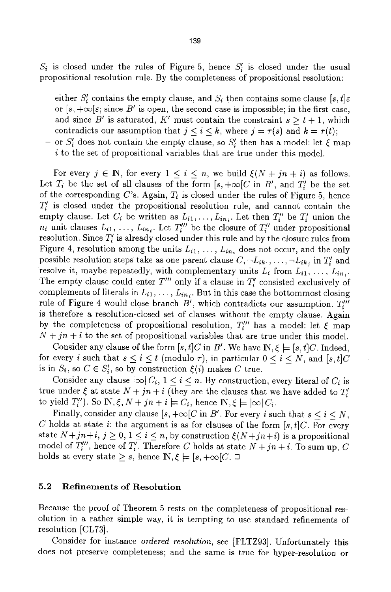$S_i$  is closed under the rules of Figure 5, hence  $S_i$  is closed under the usual propositional resolution rule. By the completeness of propositional resolution:

- either  $S_i'$  contains the empty clause, and  $S_i$  then contains some clause  $[s, t] \varepsilon$ or  $[s, +\infty[\varepsilon]$ ; since B' is open, the second case is impossible; in the first case, and since B' is saturated, K' must contain the constraint  $s \geq t + 1$ , which contradicts our assumption that  $j \leq i \leq k$ , where  $j = \tau(s)$  and  $k = \tau(t)$ ;
- or  $S'_{i}$  does not contain the empty clause, so  $S'_{i}$  then has a model: let  $\xi$  map i to the set of propositional variables that are true under this model.

For every  $j \in \mathbb{N}$ , for every  $1 \leq i \leq n$ , we build  $\xi(N+jn+i)$  as follows. Let  $T_i$  be the set of all clauses of the form  $[s, +\infty [C \text{ in } B', \text{ and } T'_i]$  be the set of the corresponding C's. Again,  $T_i$  is closed under the rules of Figure 5, hence  $T_{i}^{\prime}$  is closed under the propositional resolution rule, and cannot contain the empty clause. Let  $C_i$  be written as  $L_{i1},\ldots,L_{in_i}$ . Let then  $T''_i$  be  $T'_i$  union the  $n_i$  unit clauses  $L_{i1}, \ldots, L_{in_i}$ . Let  $T_i'''$  be the closure of  $T_i''$  under propositional resolution. Since  $T'_{i}$  is already closed under this rule and by the closure rules from Figure 4, resolution among the units  $L_{i1}, \ldots, L_{in}$ , does not occur, and the only possible resolution steps take as one parent clause  $C, \neg L_{ik_1}, \ldots, \neg L_{ik_j}$  in  $T'_{i}$  and resolve it, maybe repeatedly, with complementary units  $L_i$  from  $L_{i1}, \ldots, L_{in_i}$ . The empty clause could enter  $T'''$  only if a clause in  $T'_{i}$  consisted exclusively of complements of literals in  $L_{i1}, \ldots, L_{in_i}$ . But in this case the bottommost closing rule of Figure 4 would close branch  $B'$ , which contradicts our assumption.  $T''$ is therefore a resolution-closed set of clauses without the empty clause. Again by the completeness of propositional resolution,  $T_i^{\prime\prime\prime}$  has a model: let  $\xi$  map  $N + jn + i$  to the set of propositional variables that are true under this model.

Consider any clause of the form  $[s, t]C$  in B'. We have  $\mathbb{N}, \xi \models [s, t]C$ . Indeed, for every *i* such that  $s \leq i \leq t$  (modulo  $\tau$ ), in particular  $0 \leq i \leq N$ , and  $[s, t]C$ is in  $S_i$ , so  $C \in S'_i$ , so by construction  $\xi(i)$  makes C true.

Consider any clause  $|\infty| C_i$ ,  $1 < i < n$ . By construction, every literal of  $C_i$  is true under  $\xi$  at state  $N + jn + i$  (they are the clauses that we have added to  $T_i'$ to yield  $T''_i$ ). So **IN**,  $\xi$ ,  $N + jn + i \models C_i$ , hence **IN**,  $\xi \models |\infty| C_i$ .

Finally, consider any clause  $[s, +\infty]C$  in B'. For every i such that  $s < i < N$ , C holds at state *i*: the argument is as for clauses of the form  $[s, t]C$ . For every state  $N+jn+i$ ,  $j \geq 0$ ,  $1 \leq i \leq n$ , by construction  $\xi(N+jn+i)$  is a propositional model of  $T_i'''$ , hence of  $T_i^T$ . Therefore C holds at state  $N + jn + i$ . To sum up, C holds at every state  $\geq s$ , hence  $\mathbb{N}, \xi \models [s, +\infty]$ .

### **5.2 Refinements of Resolution**

Because the proof of Theorem 5 rests on the completeness of propositional resolution in a rather simple way, it is tempting to use standard refinements of resolution [CL73].

Consider for instance *ordered resolution,* see [FLTZ93]. Unfortunately this does not preserve completeness; and the same is true for hyper-resolution or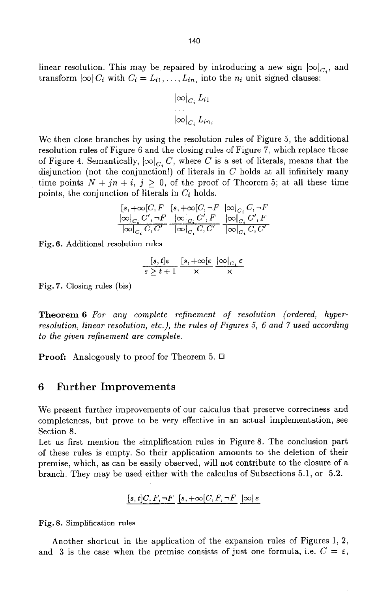linear resolution. This may be repaired by introducing a new sign  $|\infty|_{C_i}$ , and transform  $|\infty| C_i$  with  $C_i = L_{i1}, \ldots, L_{in_i}$  into the  $n_i$  unit signed clauses:

$$
\begin{aligned} |\infty|_{C_i} & L_{i1} \\ \cdots \\ |\infty|_{C_i} & L_{in_i} \end{aligned}
$$

We then close branches by using the resolution rules of Figure 5, the additional resolution rules of Figure 6 and the closing rules of Figure 7, which replace those of Figure 4. Semantically,  $|\infty|_{C_i} C$ , where C is a set of literals, means that the disjunction (not the conjunction!) of literals in  $C$  holds at all infinitely many time points  $N + jn + i$ ,  $j \geq 0$ , of the proof of Theorem 5; at all these time points, the conjunction of literals in  $C_i$  holds.

$$
\frac{[s,+\infty[C, F\quad [s,+\infty[C, \neg F\quad |\infty]_{C_i}C, \neg F}{|\infty|_{C_i}C', \neg F\quad |\infty|_{C_i}C', F\quad |\infty|_{C_i}C', F}{|\infty|_{C_i}C, C'}\quad \frac{|\infty|_{C_i}C', F}{|\infty|_{C_i}C, C'}
$$

Fig. 6. Additional resolution rules

$$
\frac{[s,t] \varepsilon}{s \geq t+1} \frac{[s,+\infty[\varepsilon \ \vert \infty ]_{C,\varepsilon}}{\times}
$$

Fig. 7. Closing rules (bis)

Theorem 6 *For any complete refinement of resolution (ordered, hyperresolution, linear resolution, etc.), the rules of Figures 5, 6 and 7 used according to the given refinement are complete.* 

**Proof:** Analogously to proof for Theorem 5.  $\Box$ 

### 6 Further Improvements

We present further improvements of our calculus that preserve correctness and completeness, but prove to be very effective in an actual implementation, see Section 8.

Let us first mention the simplification rules in Figure 8. The conclusion part of these rules is empty. So their application amounts to the deletion of their premise, which, as can be easily observed, will not contribute to the closure of a branch. They may be used either with the calculus of Subsections 5.1, or 5.2.

 $[s, t]C, F, \neg F$   $[s, +\infty]C, F, \neg F$   $|\infty| \varepsilon$ 

**Fig. 8.** Simplification rules

Another shortcut in the application of the expansion rules of Figures 1, 2, and 3 is the case when the premise consists of just one formula, i.e.  $C = \varepsilon$ ,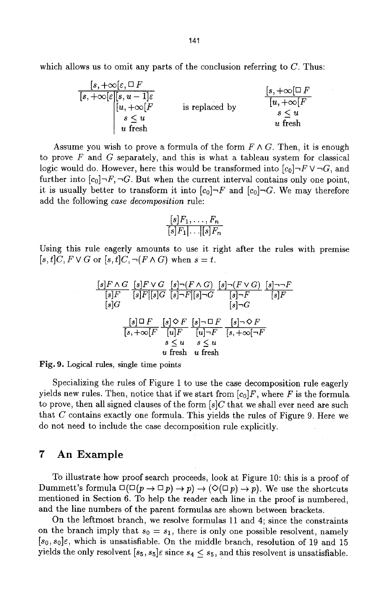which allows us to omit any parts of the conclusion referring to  $C$ . Thus:

| $[s, +\infty[\varepsilon, \Box F]$            | $[s, +\infty[\Box F]$ |                  |
|-----------------------------------------------|-----------------------|------------------|
| $[s, +\infty[\varepsilon][s, u-1]\varepsilon$ | $[u, +\infty[F]$      |                  |
| $[u, +\infty[F]$                              | is replaced by        | $[u, +\infty[F]$ |
| $s \le u$                                     | $s \le u$             |                  |
| $u$ fresh                                     | $u$ fresh             |                  |

Assume you wish to prove a formula of the form  $F \wedge G$ . Then, it is enough to prove  $F$  and  $G$  separately, and this is what a tableau system for classical logic would do. However, here this would be transformed into  $[c_0] \neg F \vee \neg G$ , and further into  $[c_0] \neg F, \neg G$ . But when the current interval contains only one point, it is usually better to transform it into  $[c_0] \neg F$  and  $[c_0] \neg G$ . We may therefore add the following *case decomposition* rule:

$$
\frac{[s]F_1, \ldots, F_n}{[s]F_1 | \ldots | [s]F_n}
$$

Using this rule eagerly amounts to use it right after the rules with premise  $[s, t]C, F \vee G$  or  $[s, t]C, \neg(F \wedge G)$  when  $s = t$ .

$$
\frac{[s]F \wedge G}{[s]F} \frac{[s]F \vee G}{[s]F][s]G} \frac{[s] \neg (F \wedge G)}{[s] \neg F} \frac{[s] \neg F}{[s]F}
$$
\n
$$
\frac{[s]G}{[s]G} \qquad \frac{[s] \neg F}{[s] \neg G}
$$
\n
$$
\frac{[s] \Box F}{[s, +\infty [F]} \frac{[s] \Diamond F}{[u]F} \frac{[s] \neg \Box F}{[u] \neg F} \frac{[s] \neg \Diamond F}{[s, +\infty [ \neg F]}
$$
\n
$$
s \le u \qquad s \le u
$$
\n
$$
u \text{ fresh}
$$
\n
$$
u \text{ fresh}
$$

**Fig. 9. Logical rules, single time** points

Specializing the rules of Figure 1 to use the case decomposition rule eagerly yields new rules. Then, notice that if we start from  $[c_0]F,$  where  $F$  is the formula to prove, then all signed clauses of the form  $[s]C$  that we shall ever need are such that C contains exactly one formula. This yields the rules of Figure 9. Here we do not need to include the case decomposition rule explicitly.

### **7 An Example**

To illustrate how proof search proceeds, look at Figure 10: this is a proof of Dummett's formula  $\square(\square(p\rightarrow \square p)\rightarrow p)\rightarrow (\diamondsuit(\square p)\rightarrow p)$ . We use the shortcuts mentioned in Section 6. To help the reader each line in the proof is numbered, and the line numbers of the parent formulas are shown between brackets.

On the leftmost branch, we resolve formulas 11 and 4; since the constraints on the branch imply that  $s_0 = s_1$ , there is only one possible resolvent, namely  $[s_0, s_0]\varepsilon$ , which is unsatisfiable. On the middle branch, resolution of 19 and 15 yields the only resolvent  $[s_5, s_5] \in \text{since } s_4 \leq s_5$ , and this resolvent is unsatisfiable.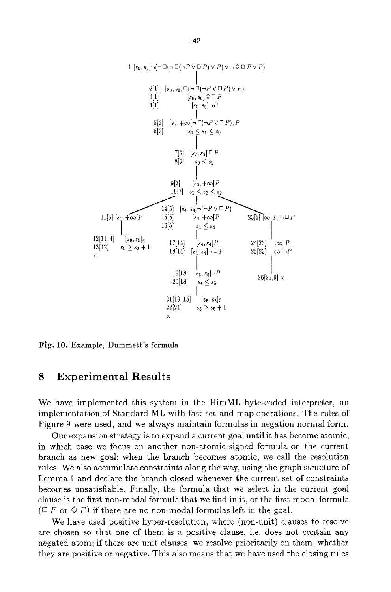

Fig. 10. Example, Dummett's formula

# **8 Experimental Results**

We have implemented this system in the HimML byte-coded interpreter, an implementation of Standard ML with fast set and map operations. The rules of Figure 9 were used, and we always maintain formulas in negation normal form.

Our expansion strategy is to expand a current goal until it has become atomic, in which case we focus on another non-atomic signed formula on the current branch as new goal; when the branch becomes atomic, we call the resolution rules. We also accumulate constraints along the way, using the graph structure of Lemma 1 and declare the branch closed whenever the current set of constraints becomes unsatisfiable. Finally, the formula that we select in the current goal clause is the first non-modal formula that we find in it, or the first modal formula  $(T F \text{ or } \Diamond F)$  if there are no non-modal formulas left in the goal.

We have used positive hyper-resolution, where (non-unit) clauses to resolve are chosen so that one of them is a positive clause, i.e. does not contain any negated atom; if there are unit clauses, we resolve prioritarily on them, whether they are positive or negative. This also means that we have used the closing rules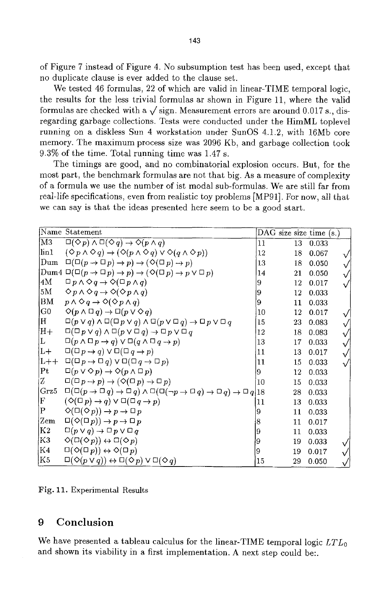of Figure 7 instead of Figure 4. No subsumption test has been used, except that no duplicate clause is ever added to the clause set.

We tested 46 formulas, 22 of which are valid in linear-TIME temporal logic, the results for the less trivial formulas ar shown in Figure 11, where the valid formulas are checked with a  $\sqrt{\text{sign}}$ . Measurement errors are around 0.017 s., disregarding garbage collections. Tests were conducted under the HimML toplevel running on a diskless Sun 4 workstation under SunOS 4.1.2, with 16Mb core memory. The maximum process size was 2096 Kb, and garbage collection took 9.3% of the time. Total running time was 1.47 s.

The timings are good, and no combinatorial explosion occurs. But, for the most part, the benchmark formulas are not that big. As a measure of complexity of a formula we use the number of ist modal sub-formulas. We are still far from real-life specifications, even from realistic toy problems [MP91]. For now, all that we can say is that the ideas presented here seem to be a good start.

|                | Name Statement                                                                                                 | DAG size size time $(s)$ |    |       |              |
|----------------|----------------------------------------------------------------------------------------------------------------|--------------------------|----|-------|--------------|
| M3             | $\Box(\Diamond p) \land \Box(\Diamond q) \rightarrow \Diamond(p \land q)$                                      | 11                       | 13 | 0.033 |              |
| lin1           | $(\Diamond p \land \Diamond q) \rightarrow (\Diamond (p \land \Diamond q) \lor \Diamond (q \land \Diamond p))$ | 12                       | 18 | 0.067 |              |
| Dum            | $\Box(\Box(p \to \Box p) \to p) \to (\Diamond(\Box p) \to p)$                                                  | 13                       | 18 | 0.050 | $\sqrt{}$    |
|                | Dum4 $\Box(\Box(p \to \Box p) \to p) \to (\Diamond(\Box p) \to p \lor \Box p)$                                 | 14                       | 21 | 0.050 |              |
| 4M             | $\Box p \land \Diamond q \rightarrow \Diamond (\Box p \land q)$                                                | 9                        | 12 | 0.017 |              |
| 5M             | $\Diamond p \land \Diamond q \rightarrow \Diamond(\Diamond p \land q)$                                         | 9                        | 12 | 0.033 |              |
| BM             | $p \wedge \Diamond q \rightarrow \Diamond(\Diamond p \wedge q)$                                                | 9                        | 11 | 0.033 |              |
| G0             | $\Diamond (p \land \Box q) \rightarrow \Box (p \lor \Diamond q)$                                               | 10                       | 12 | 0.017 |              |
| H              | $\Box(p \vee q) \wedge \Box(\Box p \vee q) \wedge \Box(p \vee \Box q) \rightarrow \Box p \vee \Box q$          | 15                       | 23 | 0.083 |              |
| $ H+$          | $\Box(\Box p \lor q) \land \Box(p \lor \Box q) \rightarrow \Box p \lor \Box q$                                 | 12                       | 18 | 0.083 |              |
| L              | $\Box(p \land \Box p \rightarrow q) \lor \Box(q \land \Box q \rightarrow p)$                                   | 13                       | 17 | 0.033 | $\checkmark$ |
| $ L+$          | $\Box(\Box p \rightarrow q) \vee \Box(\Box q \rightarrow p)$                                                   | 11                       | 13 | 0.017 |              |
| $L++$          | $\Box(\Box p \rightarrow \Box q) \vee \Box(\Box q \rightarrow \Box p)$                                         | 11                       | 15 | 0.033 |              |
| Pt             | $\Box(p \vee \Diamond p) \rightarrow \Diamond(p \wedge \Box p)$                                                | 9                        | 12 | 0.033 |              |
| İZ.            | $\Box(\Box p \rightarrow p) \rightarrow (\Diamond(\Box p) \rightarrow \Box p)$                                 | 10                       | 15 | 0.033 |              |
| $ {\rm Grz}5$  | $\Box(\Box(p \to \Box q) \to \Box q) \land \Box(\Box(\neg p \to \Box q) \to \Box q) \to \Box q 18$             |                          | 28 | 0.033 |              |
| F              | $(\Diamond(\Box p)\rightarrow q)\vee \Box(\Box q\rightarrow p)$                                                | 11                       | 13 | 0.033 |              |
| ΙP             | $\Diamond(\Box(\Diamond p)) \rightarrow p \rightarrow \Box p$                                                  | Ι9                       | 11 | 0.033 |              |
| Zem            | $\Box(\Diamond(\Box p)) \rightarrow p \rightarrow \Box p$                                                      | 18                       | 11 | 0.017 |              |
| K2]            | $\Box(p \vee q) \rightarrow \Box p \vee \Box q$                                                                | 19                       | 11 | 0.033 |              |
| K3             | $\Diamond(\Box(\Diamond p))\leftrightarrow \Box(\Diamond p)$                                                   | 9                        | 19 | 0.033 |              |
| K4             | $\square(\lozenge(\square p)) \leftrightarrow \lozenge(\square p)$                                             | 9                        | 19 | 0.017 |              |
| K <sub>5</sub> | $\Box(\Diamond (p \vee q)) \leftrightarrow \Box(\Diamond p) \vee \Box(\Diamond q)$                             | 15                       | 29 | 0.050 |              |

Fig. 11. Experimental Results

# **9 Conclusion**

We have presented a tableau calculus for the linear-TIME temporal logic *LTLo*  and shown its viability in a first implementation. A next step could be:.